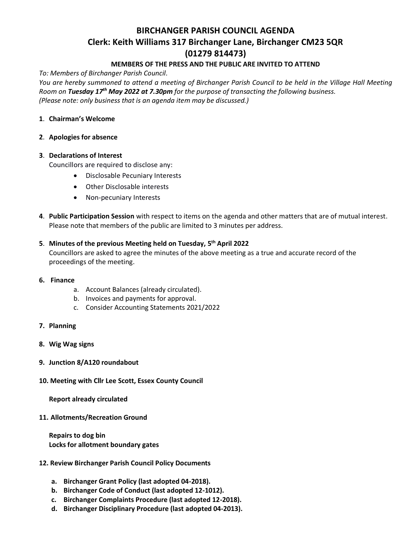# **BIRCHANGER PARISH COUNCIL AGENDA Clerk: Keith Williams 317 Birchanger Lane, Birchanger CM23 5QR (01279 814473)**

### **MEMBERS OF THE PRESS AND THE PUBLIC ARE INVITED TO ATTEND**

*To: Members of Birchanger Parish Council.*

*You are hereby summoned to attend a meeting of Birchanger Parish Council to be held in the Village Hall Meeting Room on Tuesday 17th May 2022 at 7.30pm for the purpose of transacting the following business. (Please note: only business that is an agenda item may be discussed.)*

#### **1**. **Chairman's Welcome**

#### **2**. **Apologies for absence**

#### **3**. **Declarations of Interest**

Councillors are required to disclose any:

- Disclosable Pecuniary Interests
- Other Disclosable interests
- Non-pecuniary Interests
- **4**. **Public Participation Session** with respect to items on the agenda and other matters that are of mutual interest. Please note that members of the public are limited to 3 minutes per address.

## **5**. **Minutes of the previous Meeting held on Tuesday, 5 th April 2022**

Councillors are asked to agree the minutes of the above meeting as a true and accurate record of the proceedings of the meeting.

- **6. Finance**
	- a. Account Balances (already circulated).
	- b. Invoices and payments for approval.
	- c. Consider Accounting Statements 2021/2022
- **7. Planning**
- **8. Wig Wag signs**
- **9. Junction 8/A120 roundabout**
- **10. Meeting with Cllr Lee Scott, Essex County Council**

**Report already circulated**

**11. Allotments/Recreation Ground**

**Repairs to dog bin Locks for allotment boundary gates**

- **12. Review Birchanger Parish Council Policy Documents**
	- **a. Birchanger Grant Policy (last adopted 04-2018).**
	- **b. Birchanger Code of Conduct (last adopted 12-1012).**
	- **c. Birchanger Complaints Procedure (last adopted 12-2018).**
	- **d. Birchanger Disciplinary Procedure (last adopted 04-2013).**